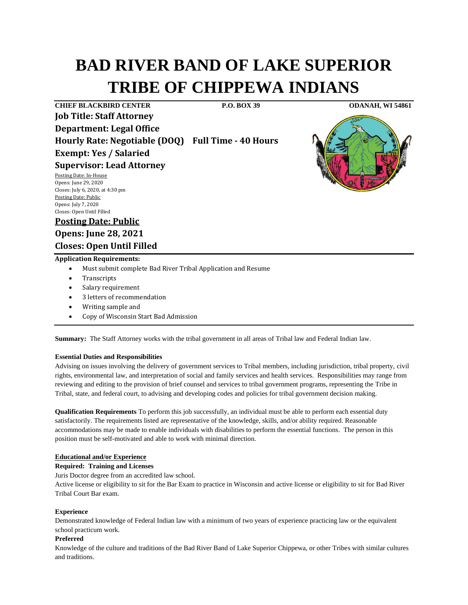# **BAD RIVER BAND OF LAKE SUPERIOR TRIBE OF CHIPPEWA INDIANS**

**CHIEF BLACKBIRD CENTER P.O. BOX 39 ODANAH, WI 54861 Job Title: Staff Attorney Department: Legal Office Hourly Rate: Negotiable (DOQ) Full Time - 40 Hours Exempt: Yes / Salaried Supervisor: Lead Attorney** Posting Date: In-House Opens: June 29, 2020



Closes: July 6, 2020, at 4:30 pm Posting Date: Public Opens: July 7, 2020 Closes: Open Until Filled

**Posting Date: Public**

**Opens: June 28, 2021 Closes: Open Until Filled**

- **Application Requirements:**
	- Must submit complete Bad River Tribal Application and Resume
	- **Transcripts**
	- Salary requirement
	- 3 letters of recommendation
	- Writing sample and
	- Copy of Wisconsin Start Bad Admission

**Summary:** The Staff Attorney works with the tribal government in all areas of Tribal law and Federal Indian law.

## **Essential Duties and Responsibilities**

Advising on issues involving the delivery of government services to Tribal members, including jurisdiction, tribal property, civil rights, environmental law, and interpretation of social and family services and health services. Responsibilities may range from reviewing and editing to the provision of brief counsel and services to tribal government programs, representing the Tribe in Tribal, state, and federal court, to advising and developing codes and policies for tribal government decision making.

**Qualification Requirements** To perform this job successfully, an individual must be able to perform each essential duty satisfactorily. The requirements listed are representative of the knowledge, skills, and/or ability required. Reasonable accommodations may be made to enable individuals with disabilities to perform the essential functions. The person in this position must be self-motivated and able to work with minimal direction.

#### **Educational and/or Experience**

#### **Required: Training and Licenses**

Juris Doctor degree from an accredited law school.

Active license or eligibility to sit for the Bar Exam to practice in Wisconsin and active license or eligibility to sit for Bad River Tribal Court Bar exam.

#### **Experience**

Demonstrated knowledge of Federal Indian law with a minimum of two years of experience practicing law or the equivalent school practicum work.

## **Preferred**

Knowledge of the culture and traditions of the Bad River Band of Lake Superior Chippewa, or other Tribes with similar cultures and traditions.